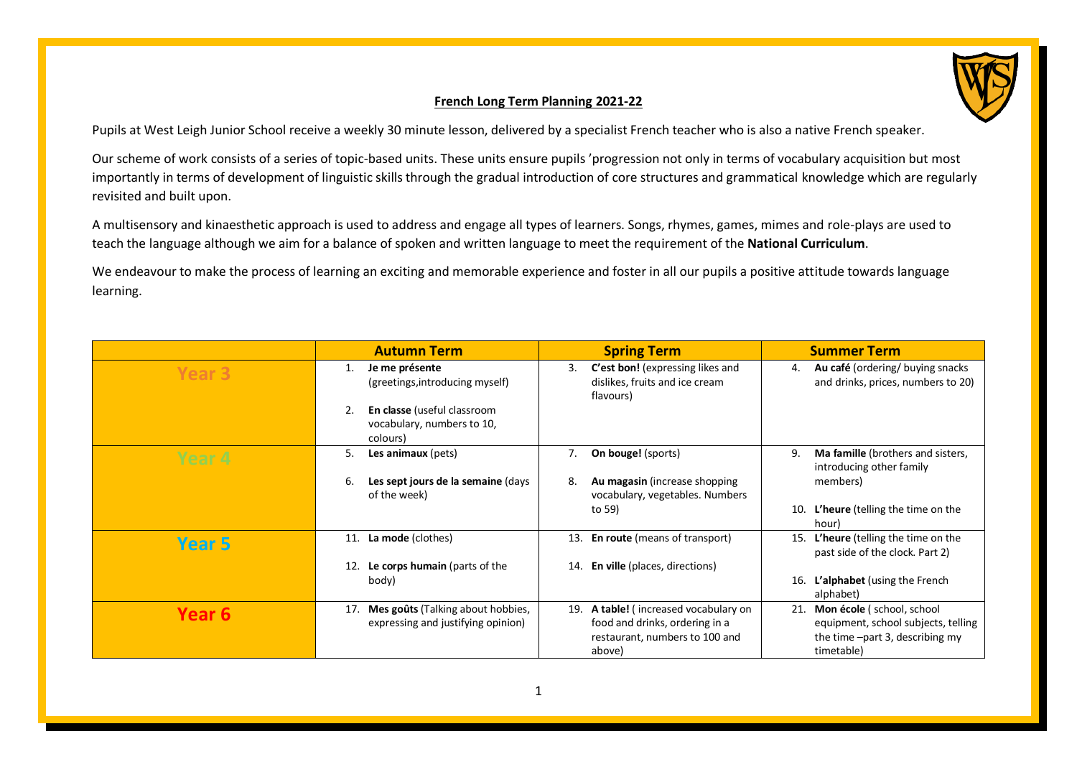## **French Long Term Planning 2021-22**

Pupils at West Leigh Junior School receive a weekly 30 minute lesson, delivered by a specialist French teacher who is also a native French speaker.

Our scheme of work consists of a series of topic-based units. These units ensure pupils 'progression not only in terms of vocabulary acquisition but most importantly in terms of development of linguistic skills through the gradual introduction of core structures and grammatical knowledge which are regularly revisited and built upon.

A multisensory and kinaesthetic approach is used to address and engage all types of learners. Songs, rhymes, games, mimes and role-plays are used to teach the language although we aim for a balance of spoken and written language to meet the requirement of the **National Curriculum**.

We endeavour to make the process of learning an exciting and memorable experience and foster in all our pupils a positive attitude towards language learning.

|                   | <b>Autumn Term</b>                                                             | <b>Spring Term</b>                                                                    | <b>Summer Term</b>                                                           |
|-------------------|--------------------------------------------------------------------------------|---------------------------------------------------------------------------------------|------------------------------------------------------------------------------|
| Year <sub>3</sub> | Je me présente<br>1.<br>(greetings, introducing myself)                        | C'est bon! (expressing likes and<br>3.<br>dislikes, fruits and ice cream<br>flavours) | Au café (ordering/buying snacks)<br>4.<br>and drinks, prices, numbers to 20) |
|                   | En classe (useful classroom<br>2.<br>vocabulary, numbers to 10,<br>colours)    |                                                                                       |                                                                              |
| Year 4            | Les animaux (pets)<br>5.                                                       | <b>On bouge!</b> (sports)<br>7.                                                       | Ma famille (brothers and sisters,<br>9.<br>introducing other family          |
|                   | 6.<br>Les sept jours de la semaine (days<br>of the week)                       | Au magasin (increase shopping<br>8.<br>vocabulary, vegetables. Numbers                | members)                                                                     |
|                   |                                                                                | to 59)                                                                                | L'heure (telling the time on the<br>10.<br>hour)                             |
| Year 5            | <b>La mode</b> (clothes)<br>11.                                                | <b>En route</b> (means of transport)<br>13.                                           | L'heure (telling the time on the<br>15.<br>past side of the clock. Part 2)   |
|                   | Le corps humain (parts of the<br>12.                                           | <b>En ville</b> (places, directions)<br>14.                                           |                                                                              |
|                   | body)                                                                          |                                                                                       | L'alphabet (using the French<br>16.<br>alphabet)                             |
| Year <sub>6</sub> | Mes goûts (Talking about hobbies,<br>17.<br>expressing and justifying opinion) | A table! (increased vocabulary on<br>19.<br>food and drinks, ordering in a            | Mon école (school, school<br>21.<br>equipment, school subjects, telling      |
|                   |                                                                                | restaurant, numbers to 100 and                                                        | the time -part 3, describing my                                              |
|                   |                                                                                | above)                                                                                | timetable)                                                                   |